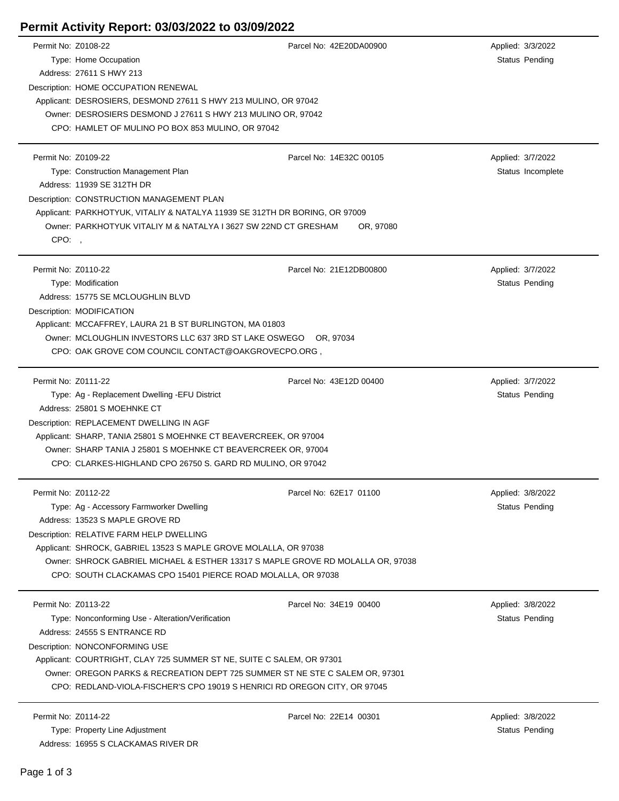## **Permit Activity Report: 03/03/2022 to 03/09/2022**

| Permit No: Z0108-22 |                                                                                                                              | Parcel No: 42E20DA00900 | Applied: 3/3/2022     |  |  |
|---------------------|------------------------------------------------------------------------------------------------------------------------------|-------------------------|-----------------------|--|--|
|                     | Type: Home Occupation                                                                                                        |                         | Status Pending        |  |  |
|                     | Address: 27611 S HWY 213                                                                                                     |                         |                       |  |  |
|                     | Description: HOME OCCUPATION RENEWAL                                                                                         |                         |                       |  |  |
|                     | Applicant: DESROSIERS, DESMOND 27611 S HWY 213 MULINO, OR 97042                                                              |                         |                       |  |  |
|                     | Owner: DESROSIERS DESMOND J 27611 S HWY 213 MULINO OR, 97042                                                                 |                         |                       |  |  |
|                     | CPO: HAMLET OF MULINO PO BOX 853 MULINO, OR 97042                                                                            |                         |                       |  |  |
|                     |                                                                                                                              |                         |                       |  |  |
| Permit No: Z0109-22 |                                                                                                                              | Parcel No: 14E32C 00105 | Applied: 3/7/2022     |  |  |
|                     | Type: Construction Management Plan                                                                                           |                         | Status Incomplete     |  |  |
|                     | Address: 11939 SE 312TH DR                                                                                                   |                         |                       |  |  |
|                     | Description: CONSTRUCTION MANAGEMENT PLAN                                                                                    |                         |                       |  |  |
|                     | Applicant: PARKHOTYUK, VITALIY & NATALYA 11939 SE 312TH DR BORING, OR 97009                                                  |                         |                       |  |  |
|                     | Owner: PARKHOTYUK VITALIY M & NATALYA I 3627 SW 22ND CT GRESHAM                                                              | OR, 97080               |                       |  |  |
| CPO:                |                                                                                                                              |                         |                       |  |  |
|                     |                                                                                                                              |                         |                       |  |  |
| Permit No: Z0110-22 |                                                                                                                              | Parcel No: 21E12DB00800 | Applied: 3/7/2022     |  |  |
|                     | Type: Modification                                                                                                           |                         | Status Pending        |  |  |
|                     | Address: 15775 SE MCLOUGHLIN BLVD                                                                                            |                         |                       |  |  |
|                     | Description: MODIFICATION                                                                                                    |                         |                       |  |  |
|                     | Applicant: MCCAFFREY, LAURA 21 B ST BURLINGTON, MA 01803                                                                     |                         |                       |  |  |
|                     | Owner: MCLOUGHLIN INVESTORS LLC 637 3RD ST LAKE OSWEGO OR, 97034                                                             |                         |                       |  |  |
|                     |                                                                                                                              |                         |                       |  |  |
|                     | CPO: OAK GROVE COM COUNCIL CONTACT@OAKGROVECPO.ORG,                                                                          |                         |                       |  |  |
| Permit No: Z0111-22 |                                                                                                                              | Parcel No: 43E12D 00400 | Applied: 3/7/2022     |  |  |
|                     | Type: Ag - Replacement Dwelling - EFU District                                                                               |                         | Status Pending        |  |  |
|                     | Address: 25801 S MOEHNKE CT                                                                                                  |                         |                       |  |  |
|                     |                                                                                                                              |                         |                       |  |  |
|                     | Description: REPLACEMENT DWELLING IN AGF                                                                                     |                         |                       |  |  |
|                     | Applicant: SHARP, TANIA 25801 S MOEHNKE CT BEAVERCREEK, OR 97004                                                             |                         |                       |  |  |
|                     | Owner: SHARP TANIA J 25801 S MOEHNKE CT BEAVERCREEK OR, 97004<br>CPO: CLARKES-HIGHLAND CPO 26750 S. GARD RD MULINO, OR 97042 |                         |                       |  |  |
|                     |                                                                                                                              |                         |                       |  |  |
| Permit No: Z0112-22 |                                                                                                                              | Parcel No: 62E17 01100  | Applied: 3/8/2022     |  |  |
|                     | Type: Ag - Accessory Farmworker Dwelling                                                                                     |                         | Status Pending        |  |  |
|                     | Address: 13523 S MAPLE GROVE RD                                                                                              |                         |                       |  |  |
|                     | Description: RELATIVE FARM HELP DWELLING                                                                                     |                         |                       |  |  |
|                     | Applicant: SHROCK, GABRIEL 13523 S MAPLE GROVE MOLALLA, OR 97038                                                             |                         |                       |  |  |
|                     | Owner: SHROCK GABRIEL MICHAEL & ESTHER 13317 S MAPLE GROVE RD MOLALLA OR, 97038                                              |                         |                       |  |  |
|                     | CPO: SOUTH CLACKAMAS CPO 15401 PIERCE ROAD MOLALLA, OR 97038                                                                 |                         |                       |  |  |
|                     |                                                                                                                              |                         |                       |  |  |
| Permit No: Z0113-22 |                                                                                                                              | Parcel No: 34E19 00400  | Applied: 3/8/2022     |  |  |
|                     | Type: Nonconforming Use - Alteration/Verification                                                                            |                         | Status Pending        |  |  |
|                     | Address: 24555 S ENTRANCE RD                                                                                                 |                         |                       |  |  |
|                     |                                                                                                                              |                         |                       |  |  |
|                     | Description: NONCONFORMING USE                                                                                               |                         |                       |  |  |
|                     | Applicant: COURTRIGHT, CLAY 725 SUMMER ST NE, SUITE C SALEM, OR 97301                                                        |                         |                       |  |  |
|                     | Owner: OREGON PARKS & RECREATION DEPT 725 SUMMER ST NE STE C SALEM OR, 97301                                                 |                         |                       |  |  |
|                     | CPO: REDLAND-VIOLA-FISCHER'S CPO 19019 S HENRICI RD OREGON CITY, OR 97045                                                    |                         |                       |  |  |
| Permit No: Z0114-22 |                                                                                                                              | Parcel No: 22E14 00301  |                       |  |  |
|                     |                                                                                                                              |                         | Applied: 3/8/2022     |  |  |
|                     | Type: Property Line Adjustment                                                                                               |                         | <b>Status Pending</b> |  |  |
|                     | Address: 16955 S CLACKAMAS RIVER DR                                                                                          |                         |                       |  |  |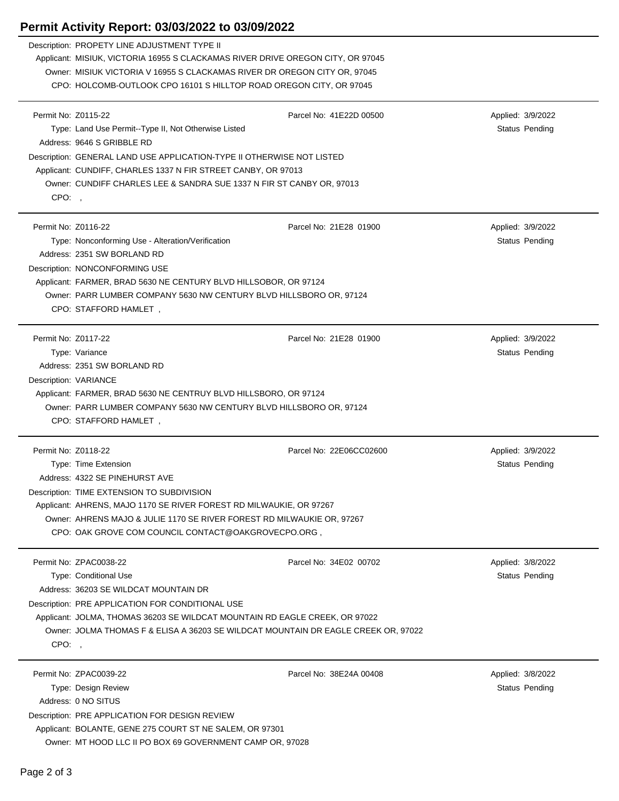## **Permit Activity Report: 03/03/2022 to 03/09/2022**

|                     | Permit Activity Report: 03/03/2022 to 03/09/2022                                   |                         |  |                   |  |
|---------------------|------------------------------------------------------------------------------------|-------------------------|--|-------------------|--|
|                     | Description: PROPETY LINE ADJUSTMENT TYPE II                                       |                         |  |                   |  |
|                     | Applicant: MISIUK, VICTORIA 16955 S CLACKAMAS RIVER DRIVE OREGON CITY, OR 97045    |                         |  |                   |  |
|                     | Owner: MISIUK VICTORIA V 16955 S CLACKAMAS RIVER DR OREGON CITY OR, 97045          |                         |  |                   |  |
|                     | CPO: HOLCOMB-OUTLOOK CPO 16101 S HILLTOP ROAD OREGON CITY, OR 97045                |                         |  |                   |  |
|                     |                                                                                    |                         |  |                   |  |
| Permit No: Z0115-22 |                                                                                    | Parcel No: 41E22D 00500 |  | Applied: 3/9/2022 |  |
|                     | Type: Land Use Permit--Type II, Not Otherwise Listed                               |                         |  | Status Pending    |  |
|                     | Address: 9646 S GRIBBLE RD                                                         |                         |  |                   |  |
|                     | Description: GENERAL LAND USE APPLICATION-TYPE II OTHERWISE NOT LISTED             |                         |  |                   |  |
|                     | Applicant: CUNDIFF, CHARLES 1337 N FIR STREET CANBY, OR 97013                      |                         |  |                   |  |
|                     | Owner: CUNDIFF CHARLES LEE & SANDRA SUE 1337 N FIR ST CANBY OR, 97013              |                         |  |                   |  |
| CPO:,               |                                                                                    |                         |  |                   |  |
| Permit No: Z0116-22 |                                                                                    | Parcel No: 21E28 01900  |  | Applied: 3/9/2022 |  |
|                     | Type: Nonconforming Use - Alteration/Verification                                  |                         |  | Status Pending    |  |
|                     | Address: 2351 SW BORLAND RD                                                        |                         |  |                   |  |
|                     | Description: NONCONFORMING USE                                                     |                         |  |                   |  |
|                     | Applicant: FARMER, BRAD 5630 NE CENTURY BLVD HILLSOBOR, OR 97124                   |                         |  |                   |  |
|                     | Owner: PARR LUMBER COMPANY 5630 NW CENTURY BLVD HILLSBORO OR, 97124                |                         |  |                   |  |
|                     | CPO: STAFFORD HAMLET,                                                              |                         |  |                   |  |
|                     |                                                                                    |                         |  |                   |  |
| Permit No: Z0117-22 |                                                                                    | Parcel No: 21E28 01900  |  | Applied: 3/9/2022 |  |
|                     | Type: Variance                                                                     |                         |  | Status Pending    |  |
|                     | Address: 2351 SW BORLAND RD                                                        |                         |  |                   |  |
|                     | Description: VARIANCE                                                              |                         |  |                   |  |
|                     | Applicant: FARMER, BRAD 5630 NE CENTRUY BLVD HILLSBORO, OR 97124                   |                         |  |                   |  |
|                     | Owner: PARR LUMBER COMPANY 5630 NW CENTURY BLVD HILLSBORO OR, 97124                |                         |  |                   |  |
|                     | CPO: STAFFORD HAMLET,                                                              |                         |  |                   |  |
|                     |                                                                                    |                         |  |                   |  |
| Permit No: Z0118-22 |                                                                                    | Parcel No: 22E06CC02600 |  | Applied: 3/9/2022 |  |
|                     | Type: Time Extension                                                               |                         |  | Status Pending    |  |
|                     | Address: 4322 SE PINEHURST AVE                                                     |                         |  |                   |  |
|                     | Description: TIME EXTENSION TO SUBDIVISION                                         |                         |  |                   |  |
|                     | Applicant: AHRENS, MAJO 1170 SE RIVER FOREST RD MILWAUKIE, OR 97267                |                         |  |                   |  |
|                     | Owner: AHRENS MAJO & JULIE 1170 SE RIVER FOREST RD MILWAUKIE OR, 97267             |                         |  |                   |  |
|                     | CPO: OAK GROVE COM COUNCIL CONTACT@OAKGROVECPO.ORG ,                               |                         |  |                   |  |
|                     | Permit No: ZPAC0038-22                                                             | Parcel No: 34E02 00702  |  | Applied: 3/8/2022 |  |
|                     | Type: Conditional Use                                                              |                         |  | Status Pending    |  |
|                     | Address: 36203 SE WILDCAT MOUNTAIN DR                                              |                         |  |                   |  |
|                     | Description: PRE APPLICATION FOR CONDITIONAL USE                                   |                         |  |                   |  |
|                     | Applicant: JOLMA, THOMAS 36203 SE WILDCAT MOUNTAIN RD EAGLE CREEK, OR 97022        |                         |  |                   |  |
|                     | Owner: JOLMA THOMAS F & ELISA A 36203 SE WILDCAT MOUNTAIN DR EAGLE CREEK OR, 97022 |                         |  |                   |  |
| CPO:,               |                                                                                    |                         |  |                   |  |
|                     |                                                                                    |                         |  |                   |  |
|                     | Permit No: ZPAC0039-22                                                             | Parcel No: 38E24A 00408 |  | Applied: 3/8/2022 |  |
|                     | Type: Design Review                                                                |                         |  | Status Pending    |  |
|                     | Address: 0 NO SITUS                                                                |                         |  |                   |  |
|                     | Description: PRE APPLICATION FOR DESIGN REVIEW                                     |                         |  |                   |  |

Applicant: BOLANTE, GENE 275 COURT ST NE SALEM, OR 97301 Owner: MT HOOD LLC II PO BOX 69 GOVERNMENT CAMP OR, 97028